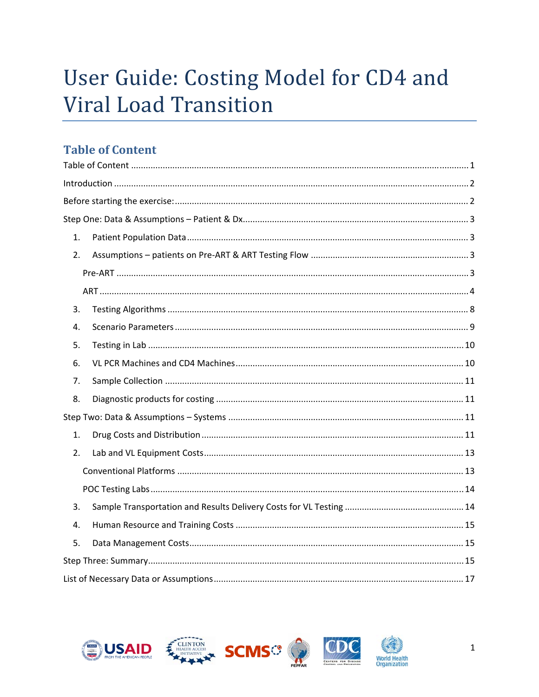# User Guide: Costing Model for CD4 and **Viral Load Transition**

# **Table of Content**

| 1. |  |
|----|--|
| 2. |  |
|    |  |
|    |  |
| 3. |  |
| 4. |  |
| 5. |  |
| 6. |  |
| 7. |  |
| 8. |  |
|    |  |
| 1. |  |
| 2. |  |
|    |  |
|    |  |
| 3. |  |
| 4. |  |
| 5. |  |
|    |  |
|    |  |







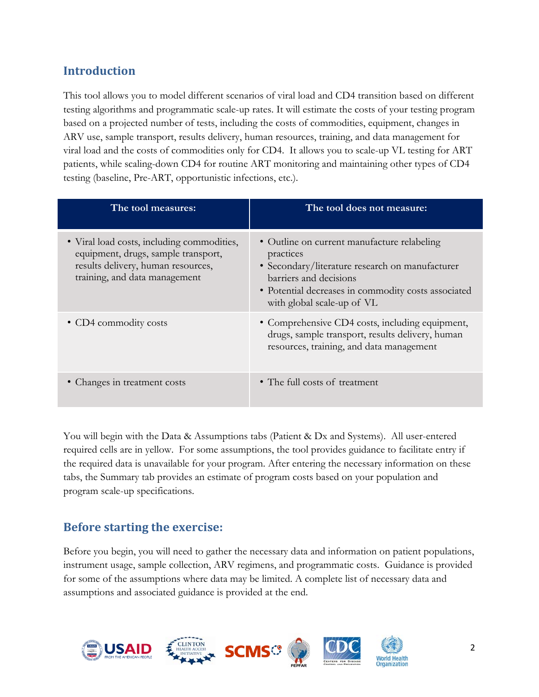# **Introduction**

This tool allows you to model different scenarios of viral load and CD4 transition based on different testing algorithms and programmatic scale-up rates. It will estimate the costs of your testing program based on a projected number of tests, including the costs of commodities, equipment, changes in ARV use, sample transport, results delivery, human resources, training, and data management for viral load and the costs of commodities only for CD4. It allows you to scale-up VL testing for ART patients, while scaling-down CD4 for routine ART monitoring and maintaining other types of CD4 testing (baseline, Pre-ART, opportunistic infections, etc.).

| The tool measures:                                                                                                                                       | The tool does not measure:                                                                                                                                                                                                 |
|----------------------------------------------------------------------------------------------------------------------------------------------------------|----------------------------------------------------------------------------------------------------------------------------------------------------------------------------------------------------------------------------|
| • Viral load costs, including commodities,<br>equipment, drugs, sample transport,<br>results delivery, human resources,<br>training, and data management | • Outline on current manufacture relabeling<br>practices<br>• Secondary/literature research on manufacturer<br>barriers and decisions<br>• Potential decreases in commodity costs associated<br>with global scale-up of VL |
| • CD4 commodity costs                                                                                                                                    | • Comprehensive CD4 costs, including equipment,<br>drugs, sample transport, results delivery, human<br>resources, training, and data management                                                                            |
| • Changes in treatment costs                                                                                                                             | • The full costs of treatment                                                                                                                                                                                              |

You will begin with the Data & Assumptions tabs (Patient & Dx and Systems). All user-entered required cells are in yellow. For some assumptions, the tool provides guidance to facilitate entry if the required data is unavailable for your program. After entering the necessary information on these tabs, the Summary tab provides an estimate of program costs based on your population and program scale-up specifications.

# **Before starting the exercise:**

Before you begin, you will need to gather the necessary data and information on patient populations, instrument usage, sample collection, ARV regimens, and programmatic costs. Guidance is provided for some of the assumptions where data may be limited. A complete list of necessary data and assumptions and associated guidance is provided at the end.

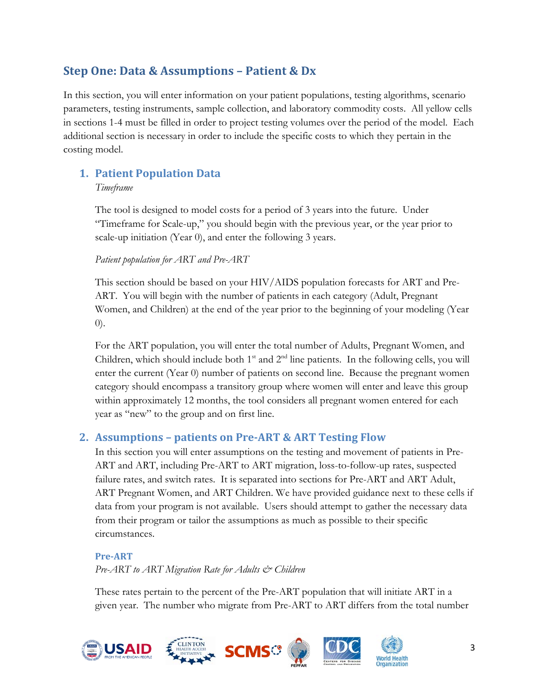# **Step One: Data & Assumptions – Patient & Dx**

In this section, you will enter information on your patient populations, testing algorithms, scenario parameters, testing instruments, sample collection, and laboratory commodity costs. All yellow cells in sections 1-4 must be filled in order to project testing volumes over the period of the model. Each additional section is necessary in order to include the specific costs to which they pertain in the costing model.

# **1. Patient Population Data**

#### *Timeframe*

The tool is designed to model costs for a period of 3 years into the future. Under "Timeframe for Scale-up," you should begin with the previous year, or the year prior to scale-up initiation (Year 0), and enter the following 3 years.

### *Patient population for ART and Pre-ART*

This section should be based on your HIV/AIDS population forecasts for ART and Pre-ART. You will begin with the number of patients in each category (Adult, Pregnant Women, and Children) at the end of the year prior to the beginning of your modeling (Year 0).

For the ART population, you will enter the total number of Adults, Pregnant Women, and Children, which should include both  $1<sup>st</sup>$  and  $2<sup>nd</sup>$  line patients. In the following cells, you will enter the current (Year 0) number of patients on second line. Because the pregnant women category should encompass a transitory group where women will enter and leave this group within approximately 12 months, the tool considers all pregnant women entered for each year as "new" to the group and on first line.

# **2. Assumptions – patients on Pre‐ART & ART Testing Flow**

In this section you will enter assumptions on the testing and movement of patients in Pre-ART and ART, including Pre-ART to ART migration, loss-to-follow-up rates, suspected failure rates, and switch rates. It is separated into sections for Pre-ART and ART Adult, ART Pregnant Women, and ART Children. We have provided guidance next to these cells if data from your program is not available. Users should attempt to gather the necessary data from their program or tailor the assumptions as much as possible to their specific circumstances.

### **Pre‐ART**

*Pre-ART to ART Migration Rate for Adults & Children* 

These rates pertain to the percent of the Pre-ART population that will initiate ART in a given year. The number who migrate from Pre-ART to ART differs from the total number

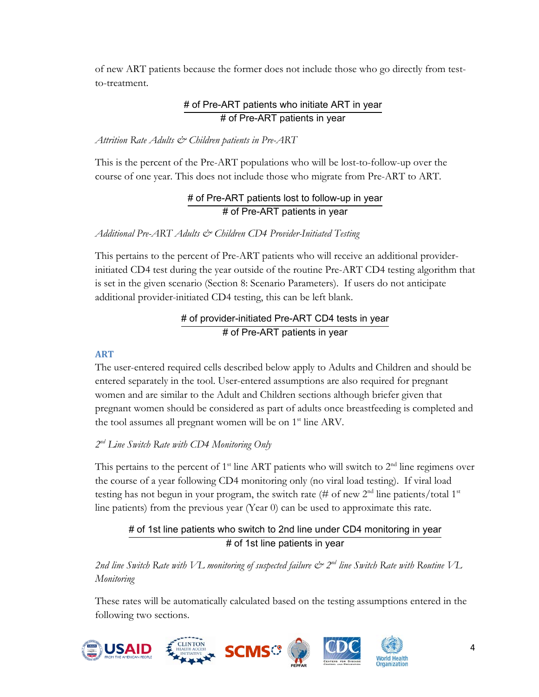of new ART patients because the former does not include those who go directly from testto-treatment.

# # of Pre-ART patients who initiate ART in year # of Pre-ART patients in year

### *Attrition Rate Adults & Children patients in Pre-ART*

This is the percent of the Pre-ART populations who will be lost-to-follow-up over the course of one year. This does not include those who migrate from Pre-ART to ART.

### # of Pre-ART patients lost to follow-up in year # of Pre-ART patients in year

### *Additional Pre-ART Adults & Children CD4 Provider-Initiated Testing*

This pertains to the percent of Pre-ART patients who will receive an additional providerinitiated CD4 test during the year outside of the routine Pre-ART CD4 testing algorithm that is set in the given scenario (Section 8: Scenario Parameters). If users do not anticipate additional provider-initiated CD4 testing, this can be left blank.

# # of provider-initiated Pre-ART CD4 tests in year # of Pre-ART patients in year

### **ART**

The user-entered required cells described below apply to Adults and Children and should be entered separately in the tool. User-entered assumptions are also required for pregnant women and are similar to the Adult and Children sections although briefer given that pregnant women should be considered as part of adults once breastfeeding is completed and the tool assumes all pregnant women will be on 1<sup>st</sup> line ARV.

### *2nd Line Switch Rate with CD4 Monitoring Only*

This pertains to the percent of  $1<sup>st</sup>$  line ART patients who will switch to  $2<sup>nd</sup>$  line regimens over the course of a year following CD4 monitoring only (no viral load testing). If viral load testing has not begun in your program, the switch rate (# of new  $2<sup>nd</sup>$  line patients/total 1<sup>st</sup> line patients) from the previous year (Year 0) can be used to approximate this rate.

# # of 1st line patients who switch to 2nd line under CD4 monitoring in year # of 1st line patients in year

2nd line Switch Rate with VL monitoring of suspected failure  $\mathcal{O}^{\geq 2^{nd}}$  line Switch Rate with Routine VL *Monitoring* 

These rates will be automatically calculated based on the testing assumptions entered in the following two sections.



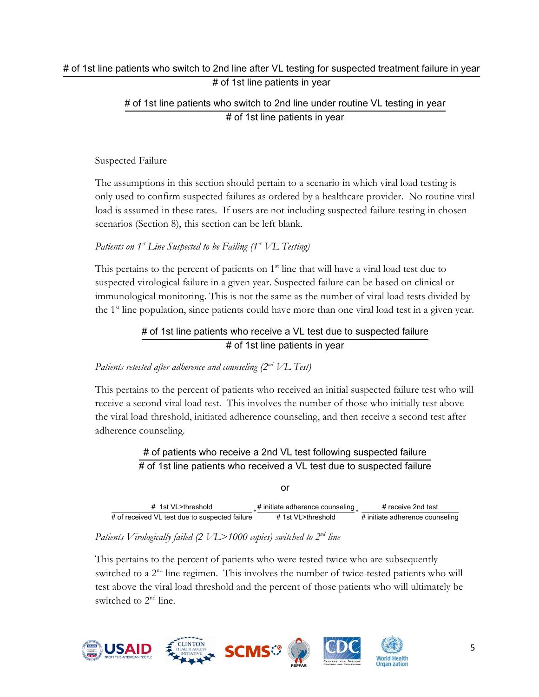# # of 1st line patients who switch to 2nd line under routine VL testing in year # of 1st line patients in year

Suspected Failure

The assumptions in this section should pertain to a scenario in which viral load testing is only used to confirm suspected failures as ordered by a healthcare provider. No routine viral load is assumed in these rates. If users are not including suspected failure testing in chosen scenarios (Section 8), this section can be left blank.

Patients on 1<sup>st</sup> Line Suspected to be Failing (1<sup>st</sup> VL Testing)

This pertains to the percent of patients on  $1<sup>st</sup>$  line that will have a viral load test due to suspected virological failure in a given year. Suspected failure can be based on clinical or immunological monitoring. This is not the same as the number of viral load tests divided by the 1st line population, since patients could have more than one viral load test in a given year.

# # of 1st line patients who receive a VL test due to suspected failure # of 1st line patients in year

### *Patients retested after adherence and counseling (2nd VL Test)*

This pertains to the percent of patients who received an initial suspected failure test who will receive a second viral load test. This involves the number of those who initially test above the viral load threshold, initiated adherence counseling, and then receive a second test after adherence counseling.

> # of patients who receive a 2nd VL test following suspected failure # of 1st line patients who received a VL test due to suspected failure

| # 1st VL>threshold                             | $\pm$ # initiate adherence counseling | # receive 2nd test              |
|------------------------------------------------|---------------------------------------|---------------------------------|
| # of received VL test due to suspected failure | # 1st VL>threshold                    | # initiate adherence counseling |

or

### *Patients Virologically failed (2 VL>1000 copies) switched to 2nd line*

This pertains to the percent of patients who were tested twice who are subsequently switched to a 2<sup>nd</sup> line regimen. This involves the number of twice-tested patients who will test above the viral load threshold and the percent of those patients who will ultimately be switched to 2<sup>nd</sup> line.

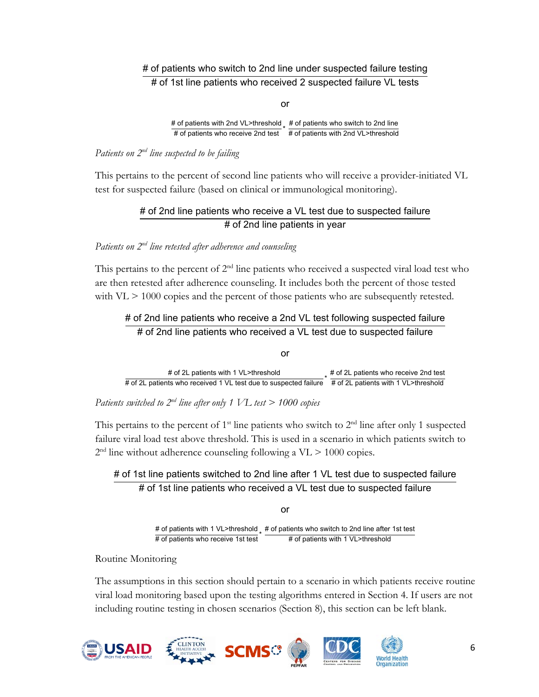### # of patients who switch to 2nd line under suspected failure testing # of 1st line patients who received 2 suspected failure VL tests

or

# of patients with 2nd VL>threshold  $*$  # of patients who switch to 2nd line  $\pm$  of patients with 2nd VL>threshold  $_{\star}$  # of patients who switch to 2nd line<br># of patients who receive 2nd test  $\,$  # of patients with 2nd VL>threshold

*Patients on 2nd line suspected to be failing* 

This pertains to the percent of second line patients who will receive a provider-initiated VL test for suspected failure (based on clinical or immunological monitoring).

# # of 2nd line patients who receive a VL test due to suspected failure # of 2nd line patients in year

### *Patients on 2nd line retested after adherence and counseling*

This pertains to the percent of  $2<sup>nd</sup>$  line patients who received a suspected viral load test who are then retested after adherence counseling. It includes both the percent of those tested with  $VL \ge 1000$  copies and the percent of those patients who are subsequently retested.

### # of 2nd line patients who receive a 2nd VL test following suspected failure # of 2nd line patients who received a VL test due to suspected failure

or

# of 2L patients with 1 VL>threshold # of 2L patients who received 1 VL test due to suspected failure # of 2L patients with 1 VL>threshold<br>H of 2L patients with 1 VL>threshold

*Patients switched to 2nd line after only 1 VL test > 1000 copies* 

This pertains to the percent of  $1<sup>st</sup>$  line patients who switch to  $2<sup>nd</sup>$  line after only 1 suspected failure viral load test above threshold. This is used in a scenario in which patients switch to  $2<sup>nd</sup>$  line without adherence counseling following a VL  $> 1000$  copies.

# # of 1st line patients switched to 2nd line after 1 VL test due to suspected failure # of 1st line patients who received a VL test due to suspected failure

or

# of patients with 1 VL>threshold <sub>\*</sub> # of patients who switch to 2nd line after 1st test<br># of patients who receive 1st test # of patients with 1 VL>threshold # of patients with 1 VL>threshold

Routine Monitoring

The assumptions in this section should pertain to a scenario in which patients receive routine viral load monitoring based upon the testing algorithms entered in Section 4. If users are not including routine testing in chosen scenarios (Section 8), this section can be left blank.



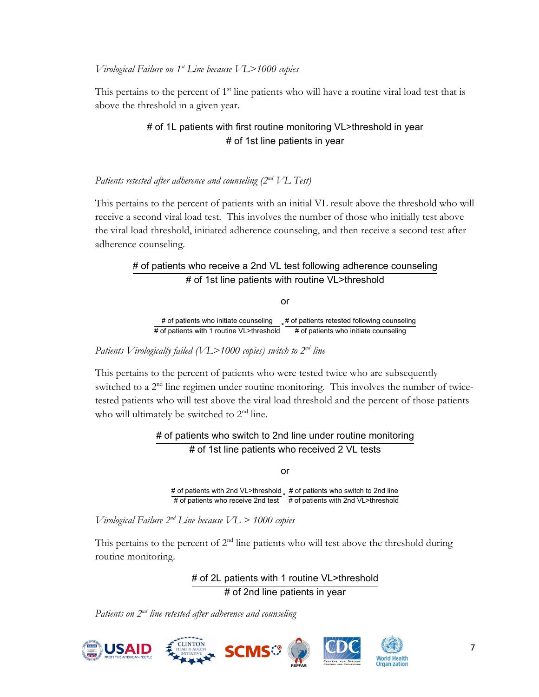#### *Virological Failure on 1st Line because VL>1000 copies*

This pertains to the percent of 1<sup>st</sup> line patients who will have a routine viral load test that is above the threshold in a given year.

### # of 1L patients with first routine monitoring VL>threshold in year # of 1st line patients in year

### *Patients retested after adherence and counseling (2nd VL Test)*

This pertains to the percent of patients with an initial VL result above the threshold who will receive a second viral load test. This involves the number of those who initially test above the viral load threshold, initiated adherence counseling, and then receive a second test after adherence counseling.

### # of patients who receive a 2nd VL test following adherence counseling # of 1st line patients with routine VL>threshold

or

# of patients who initiate counseling  $\;\;\downarrow$  # of patients retested following counseling # of patients with 1 routine VL>threshold # of patients who initiate counseling

*Patients Virologically failed (VL>1000 copies) switch to 2nd line* 

This pertains to the percent of patients who were tested twice who are subsequently switched to a 2<sup>nd</sup> line regimen under routine monitoring. This involves the number of twicetested patients who will test above the viral load threshold and the percent of those patients who will ultimately be switched to 2<sup>nd</sup> line.

> # of patients who switch to 2nd line under routine monitoring # of 1st line patients who received 2 VL tests

> > or

# of patients with 2nd VL>threshold # of patients who switch to 2nd line  $t$  of patients with 2nd VL>threshold  $_{\mathrm{\ast}}$  # of patients who switch to 2nd line<br># of patients who receive 2nd test  $\;$  # of patients with 2nd VL>threshold

*Virological Failure 2nd Line because VL > 1000 copies* 

This pertains to the percent of  $2<sup>nd</sup>$  line patients who will test above the threshold during routine monitoring.

> # of 2L patients with 1 routine VL>threshold # of 2nd line patients in year

*Patients on 2nd line retested after adherence and counseling* 







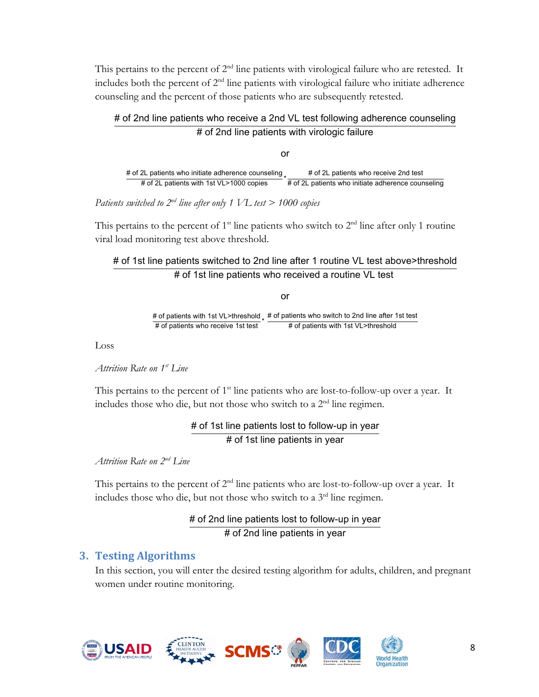This pertains to the percent of  $2<sup>nd</sup>$  line patients with virological failure who are retested. It includes both the percent of  $2<sup>nd</sup>$  line patients with virological failure who initiate adherence counseling and the percent of those patients who are subsequently retested.

### # of 2nd line patients who receive a 2nd VL test following adherence counseling # of 2nd line patients with virologic failure

or

# of 2L patients who initiate adherence counseling  $*$  # of 2L patients who receive 2nd test<br># of 2L patients with 1st VL>1000 copies \* # of 2L patients who initiate adherence cour # of 2L patients who initiate adherence counseling

*Patients switched to 2nd line after only 1 VL test > 1000 copies* 

This pertains to the percent of  $1<sup>st</sup>$  line patients who switch to  $2<sup>nd</sup>$  line after only 1 routine viral load monitoring test above threshold.

### # of 1st line patients switched to 2nd line after 1 routine VL test above>threshold # of 1st line patients who received a routine VL test

or

# of patients with 1st VL>threshold  $\frac{1}{x}$  # of patients who switch to 2nd line after 1st test # of patients with 1st VL>threshold # of patients with 1st VL>threshold

Loss

*Attrition Rate on 1st Line* 

This pertains to the percent of  $1<sup>st</sup>$  line patients who are lost-to-follow-up over a year. It includes those who die, but not those who switch to a 2nd line regimen.

### # of 1st line patients lost to follow-up in year # of 1st line patients in year

*Attrition Rate on 2nd Line* 

This pertains to the percent of  $2<sup>nd</sup>$  line patients who are lost-to-follow-up over a year. It includes those who die, but not those who switch to a 3rd line regimen.

> # of 2nd line patients lost to follow-up in year # of 2nd line patients in year

# **3. Testing Algorithms**

In this section, you will enter the desired testing algorithm for adults, children, and pregnant women under routine monitoring.

**SCMS** 









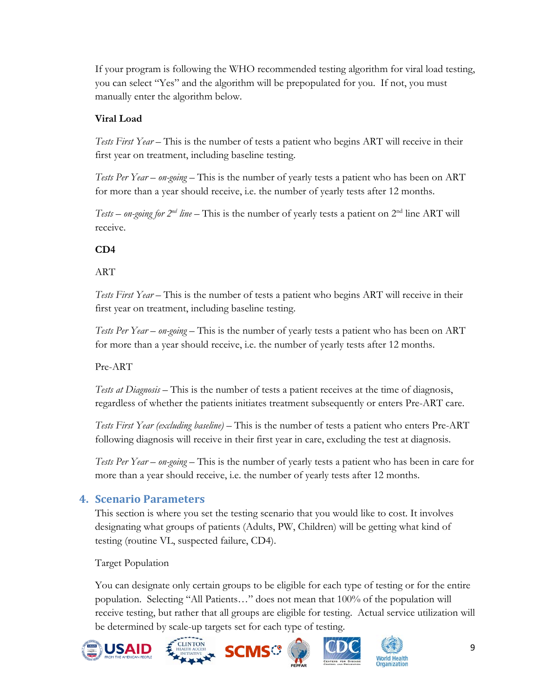If your program is following the WHO recommended testing algorithm for viral load testing, you can select "Yes" and the algorithm will be prepopulated for you. If not, you must manually enter the algorithm below.

# **Viral Load**

*Tests First Year* – This is the number of tests a patient who begins ART will receive in their first year on treatment, including baseline testing.

*Tests Per Year – on-going* – This is the number of yearly tests a patient who has been on ART for more than a year should receive, i.e. the number of yearly tests after 12 months.

*Tests – on-going for*  $2^{nd}$  *line* – This is the number of yearly tests a patient on  $2^{nd}$  line ART will receive.

# **CD4**

### ART

*Tests First Year* – This is the number of tests a patient who begins ART will receive in their first year on treatment, including baseline testing.

*Tests Per Year – on-going* – This is the number of yearly tests a patient who has been on ART for more than a year should receive, i.e. the number of yearly tests after 12 months.

Pre-ART

*Tests at Diagnosis –* This is the number of tests a patient receives at the time of diagnosis, regardless of whether the patients initiates treatment subsequently or enters Pre-ART care.

*Tests First Year (excluding baseline)* – This is the number of tests a patient who enters Pre-ART following diagnosis will receive in their first year in care, excluding the test at diagnosis.

*Tests Per Year – on-going* – This is the number of yearly tests a patient who has been in care for more than a year should receive, i.e. the number of yearly tests after 12 months.

# **4. Scenario Parameters**

This section is where you set the testing scenario that you would like to cost. It involves designating what groups of patients (Adults, PW, Children) will be getting what kind of testing (routine VL, suspected failure, CD4).

Target Population

You can designate only certain groups to be eligible for each type of testing or for the entire population. Selecting "All Patients…" does not mean that 100% of the population will receive testing, but rather that all groups are eligible for testing. Actual service utilization will be determined by scale-up targets set for each type of testing.





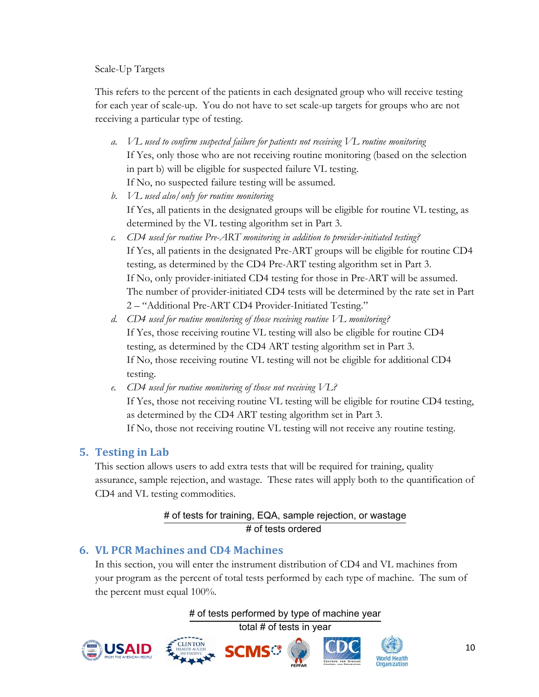### Scale-Up Targets

This refers to the percent of the patients in each designated group who will receive testing for each year of scale-up. You do not have to set scale-up targets for groups who are not receiving a particular type of testing.

- *a. VL used to confirm suspected failure for patients not receiving VL routine monitoring*  If Yes, only those who are not receiving routine monitoring (based on the selection in part b) will be eligible for suspected failure VL testing. If No, no suspected failure testing will be assumed.
- *b. VL used also/only for routine monitoring*  If Yes, all patients in the designated groups will be eligible for routine VL testing, as determined by the VL testing algorithm set in Part 3.
- *c. CD4 used for routine Pre-ART monitoring in addition to provider-initiated testing?*  If Yes, all patients in the designated Pre-ART groups will be eligible for routine CD4 testing, as determined by the CD4 Pre-ART testing algorithm set in Part 3. If No, only provider-initiated CD4 testing for those in Pre-ART will be assumed. The number of provider-initiated CD4 tests will be determined by the rate set in Part 2 – "Additional Pre-ART CD4 Provider-Initiated Testing."
- *d. CD4 used for routine monitoring of those receiving routine VL monitoring?*  If Yes, those receiving routine VL testing will also be eligible for routine CD4 testing, as determined by the CD4 ART testing algorithm set in Part 3. If No, those receiving routine VL testing will not be eligible for additional CD4 testing.
- *e. CD4 used for routine monitoring of those not receiving VL?*  If Yes, those not receiving routine VL testing will be eligible for routine CD4 testing, as determined by the CD4 ART testing algorithm set in Part 3. If No, those not receiving routine VL testing will not receive any routine testing.

# **5. Testing in Lab**

This section allows users to add extra tests that will be required for training, quality assurance, sample rejection, and wastage. These rates will apply both to the quantification of CD4 and VL testing commodities.

# # of tests for training, EQA, sample rejection, or wastage # of tests ordered

# **6. VL PCR Machines and CD4 Machines**

In this section, you will enter the instrument distribution of CD4 and VL machines from your program as the percent of total tests performed by each type of machine. The sum of the percent must equal 100%.

# of tests performed by type of machine year

total # of tests in year









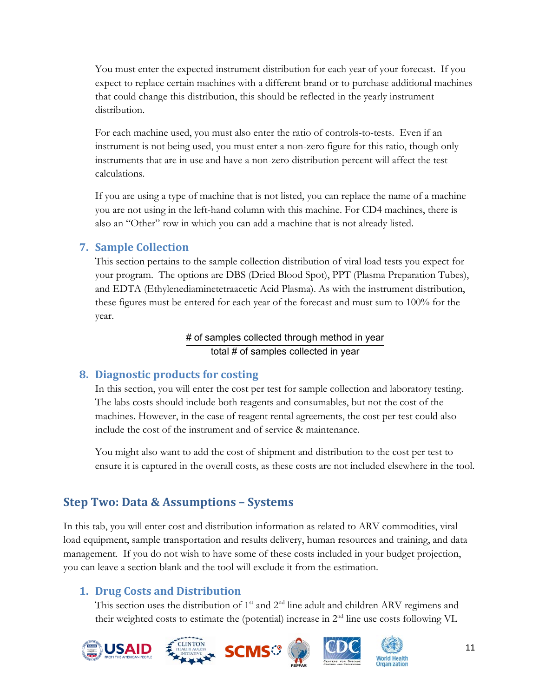You must enter the expected instrument distribution for each year of your forecast. If you expect to replace certain machines with a different brand or to purchase additional machines that could change this distribution, this should be reflected in the yearly instrument distribution.

For each machine used, you must also enter the ratio of controls-to-tests. Even if an instrument is not being used, you must enter a non-zero figure for this ratio, though only instruments that are in use and have a non-zero distribution percent will affect the test calculations.

If you are using a type of machine that is not listed, you can replace the name of a machine you are not using in the left-hand column with this machine. For CD4 machines, there is also an "Other" row in which you can add a machine that is not already listed.

# **7. Sample Collection**

This section pertains to the sample collection distribution of viral load tests you expect for your program. The options are DBS (Dried Blood Spot), PPT (Plasma Preparation Tubes), and EDTA (Ethylenediaminetetraacetic Acid Plasma). As with the instrument distribution, these figures must be entered for each year of the forecast and must sum to 100% for the year.

# # of samples collected through method in year total # of samples collected in year

# **8. Diagnostic products for costing**

In this section, you will enter the cost per test for sample collection and laboratory testing. The labs costs should include both reagents and consumables, but not the cost of the machines. However, in the case of reagent rental agreements, the cost per test could also include the cost of the instrument and of service & maintenance.

You might also want to add the cost of shipment and distribution to the cost per test to ensure it is captured in the overall costs, as these costs are not included elsewhere in the tool.

# **Step Two: Data & Assumptions – Systems**

In this tab, you will enter cost and distribution information as related to ARV commodities, viral load equipment, sample transportation and results delivery, human resources and training, and data management. If you do not wish to have some of these costs included in your budget projection, you can leave a section blank and the tool will exclude it from the estimation.

# **1. Drug Costs and Distribution**

This section uses the distribution of 1<sup>st</sup> and 2<sup>nd</sup> line adult and children ARV regimens and their weighted costs to estimate the (potential) increase in 2nd line use costs following VL

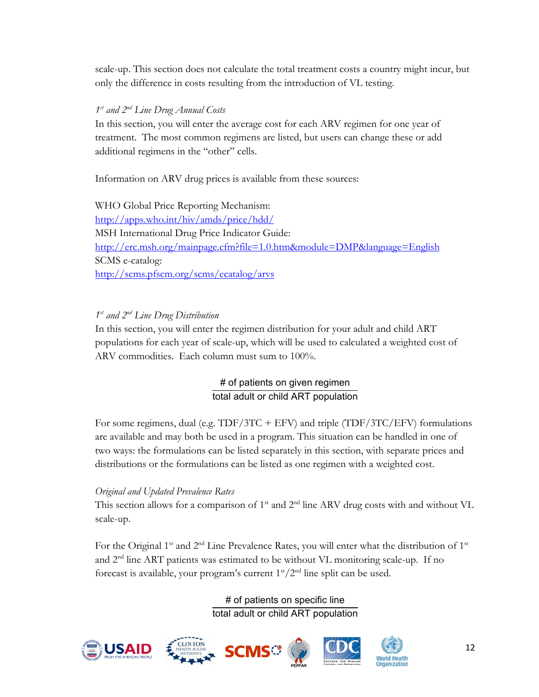scale-up. This section does not calculate the total treatment costs a country might incur, but only the difference in costs resulting from the introduction of VL testing.

### *1st and 2nd Line Drug Annual Costs*

In this section, you will enter the average cost for each ARV regimen for one year of treatment. The most common regimens are listed, but users can change these or add additional regimens in the "other" cells.

Information on ARV drug prices is available from these sources:

WHO Global Price Reporting Mechanism: http://apps.who.int/hiv/amds/price/hdd/ MSH International Drug Price Indicator Guide: http://erc.msh.org/mainpage.cfm?file=1.0.htm&module=DMP&language=English SCMS e-catalog: http://scms.pfscm.org/scms/ecatalog/arvs

# *1st and 2nd Line Drug Distribution*

In this section, you will enter the regimen distribution for your adult and child ART populations for each year of scale-up, which will be used to calculated a weighted cost of ARV commodities. Each column must sum to 100%.

# # of patients on given regimen total adult or child ART population

For some regimens, dual (e.g. TDF/3TC + EFV) and triple (TDF/3TC/EFV) formulations are available and may both be used in a program. This situation can be handled in one of two ways: the formulations can be listed separately in this section, with separate prices and distributions or the formulations can be listed as one regimen with a weighted cost.

### *Original and Updated Prevalence Rates*

This section allows for a comparison of 1<sup>st</sup> and 2<sup>nd</sup> line ARV drug costs with and without VL scale-up.

For the Original 1<sup>st</sup> and  $2<sup>nd</sup>$  Line Prevalence Rates, you will enter what the distribution of 1<sup>st</sup> and 2nd line ART patients was estimated to be without VL monitoring scale-up. If no forecast is available, your program's current  $1<sup>st</sup>/2<sup>nd</sup>$  line split can be used.

> # of patients on specific line total adult or child ART population









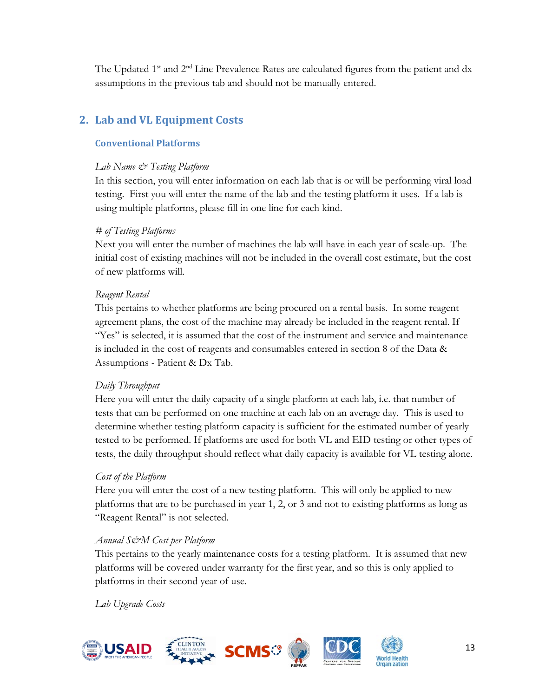The Updated 1<sup>st</sup> and 2<sup>nd</sup> Line Prevalence Rates are calculated figures from the patient and dx assumptions in the previous tab and should not be manually entered.

# **2. Lab and VL Equipment Costs**

### **Conventional Platforms**

### *Lab Name & Testing Platform*

In this section, you will enter information on each lab that is or will be performing viral load testing. First you will enter the name of the lab and the testing platform it uses. If a lab is using multiple platforms, please fill in one line for each kind.

### *# of Testing Platforms*

Next you will enter the number of machines the lab will have in each year of scale-up. The initial cost of existing machines will not be included in the overall cost estimate, but the cost of new platforms will.

### *Reagent Rental*

This pertains to whether platforms are being procured on a rental basis. In some reagent agreement plans, the cost of the machine may already be included in the reagent rental. If "Yes" is selected, it is assumed that the cost of the instrument and service and maintenance is included in the cost of reagents and consumables entered in section 8 of the Data & Assumptions - Patient & Dx Tab.

### *Daily Throughput*

Here you will enter the daily capacity of a single platform at each lab, i.e. that number of tests that can be performed on one machine at each lab on an average day. This is used to determine whether testing platform capacity is sufficient for the estimated number of yearly tested to be performed. If platforms are used for both VL and EID testing or other types of tests, the daily throughput should reflect what daily capacity is available for VL testing alone.

### *Cost of the Platform*

Here you will enter the cost of a new testing platform. This will only be applied to new platforms that are to be purchased in year 1, 2, or 3 and not to existing platforms as long as "Reagent Rental" is not selected.

### *Annual S&M Cost per Platform*

This pertains to the yearly maintenance costs for a testing platform. It is assumed that new platforms will be covered under warranty for the first year, and so this is only applied to platforms in their second year of use.

*Lab Upgrade Costs* 

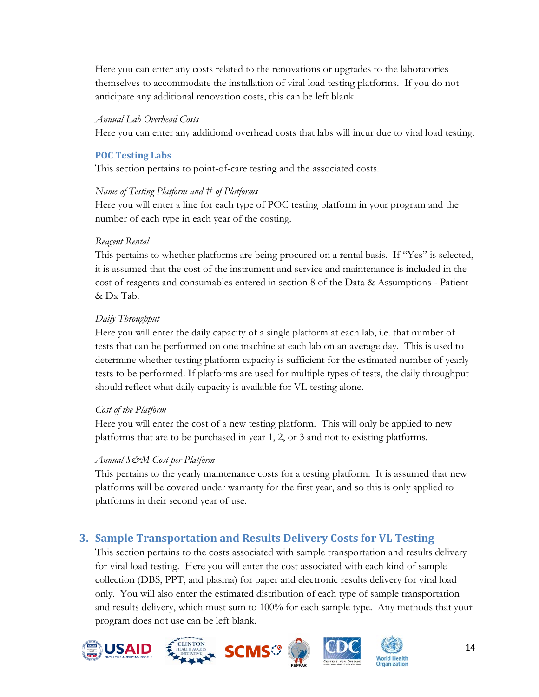Here you can enter any costs related to the renovations or upgrades to the laboratories themselves to accommodate the installation of viral load testing platforms. If you do not anticipate any additional renovation costs, this can be left blank.

#### *Annual Lab Overhead Costs*

Here you can enter any additional overhead costs that labs will incur due to viral load testing.

#### **POC Testing Labs**

This section pertains to point-of-care testing and the associated costs.

#### *Name of Testing Platform and # of Platforms*

Here you will enter a line for each type of POC testing platform in your program and the number of each type in each year of the costing.

#### *Reagent Rental*

This pertains to whether platforms are being procured on a rental basis. If "Yes" is selected, it is assumed that the cost of the instrument and service and maintenance is included in the cost of reagents and consumables entered in section 8 of the Data & Assumptions - Patient & Dx Tab.

### *Daily Throughput*

Here you will enter the daily capacity of a single platform at each lab, i.e. that number of tests that can be performed on one machine at each lab on an average day. This is used to determine whether testing platform capacity is sufficient for the estimated number of yearly tests to be performed. If platforms are used for multiple types of tests, the daily throughput should reflect what daily capacity is available for VL testing alone.

### *Cost of the Platform*

Here you will enter the cost of a new testing platform. This will only be applied to new platforms that are to be purchased in year 1, 2, or 3 and not to existing platforms.

### *Annual S&M Cost per Platform*

This pertains to the yearly maintenance costs for a testing platform. It is assumed that new platforms will be covered under warranty for the first year, and so this is only applied to platforms in their second year of use.

# **3. Sample Transportation and Results Delivery Costs for VL Testing**

This section pertains to the costs associated with sample transportation and results delivery for viral load testing. Here you will enter the cost associated with each kind of sample collection (DBS, PPT, and plasma) for paper and electronic results delivery for viral load only. You will also enter the estimated distribution of each type of sample transportation and results delivery, which must sum to 100% for each sample type. Any methods that your program does not use can be left blank.









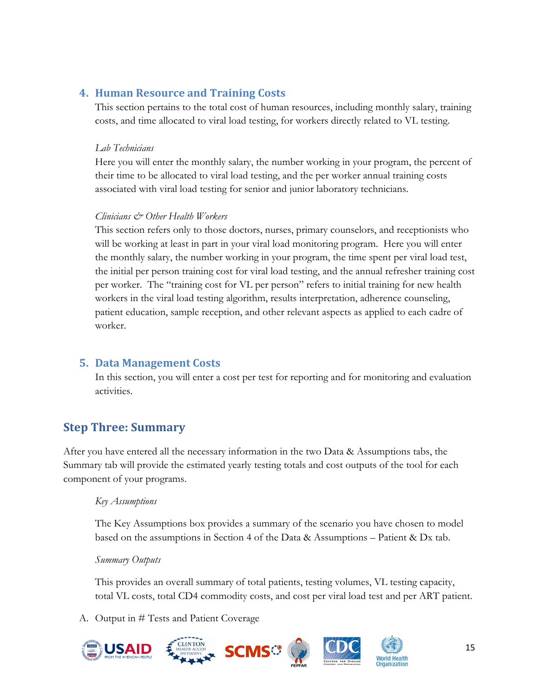# **4. Human Resource and Training Costs**

This section pertains to the total cost of human resources, including monthly salary, training costs, and time allocated to viral load testing, for workers directly related to VL testing.

### *Lab Technicians*

Here you will enter the monthly salary, the number working in your program, the percent of their time to be allocated to viral load testing, and the per worker annual training costs associated with viral load testing for senior and junior laboratory technicians.

### *Clinicians & Other Health Workers*

This section refers only to those doctors, nurses, primary counselors, and receptionists who will be working at least in part in your viral load monitoring program. Here you will enter the monthly salary, the number working in your program, the time spent per viral load test, the initial per person training cost for viral load testing, and the annual refresher training cost per worker. The "training cost for VL per person" refers to initial training for new health workers in the viral load testing algorithm, results interpretation, adherence counseling, patient education, sample reception, and other relevant aspects as applied to each cadre of worker.

# **5. Data Management Costs**

In this section, you will enter a cost per test for reporting and for monitoring and evaluation activities.

# **Step Three: Summary**

After you have entered all the necessary information in the two Data & Assumptions tabs, the Summary tab will provide the estimated yearly testing totals and cost outputs of the tool for each component of your programs.

### *Key Assumptions*

The Key Assumptions box provides a summary of the scenario you have chosen to model based on the assumptions in Section 4 of the Data & Assumptions – Patient & Dx tab.

### *Summary Outputs*

This provides an overall summary of total patients, testing volumes, VL testing capacity, total VL costs, total CD4 commodity costs, and cost per viral load test and per ART patient.

A. Output in # Tests and Patient Coverage



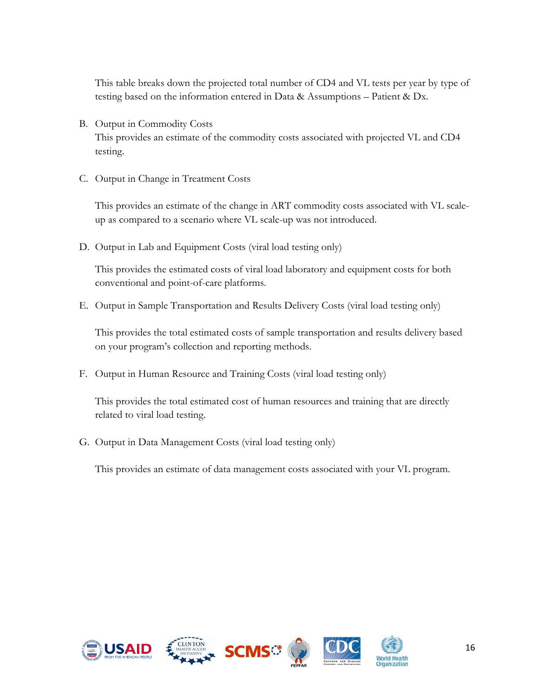This table breaks down the projected total number of CD4 and VL tests per year by type of testing based on the information entered in Data & Assumptions – Patient & Dx.

- B. Output in Commodity Costs This provides an estimate of the commodity costs associated with projected VL and CD4 testing.
- C. Output in Change in Treatment Costs

This provides an estimate of the change in ART commodity costs associated with VL scaleup as compared to a scenario where VL scale-up was not introduced.

D. Output in Lab and Equipment Costs (viral load testing only)

This provides the estimated costs of viral load laboratory and equipment costs for both conventional and point-of-care platforms.

E. Output in Sample Transportation and Results Delivery Costs (viral load testing only)

This provides the total estimated costs of sample transportation and results delivery based on your program's collection and reporting methods.

F. Output in Human Resource and Training Costs (viral load testing only)

This provides the total estimated cost of human resources and training that are directly related to viral load testing.

G. Output in Data Management Costs (viral load testing only)

This provides an estimate of data management costs associated with your VL program.









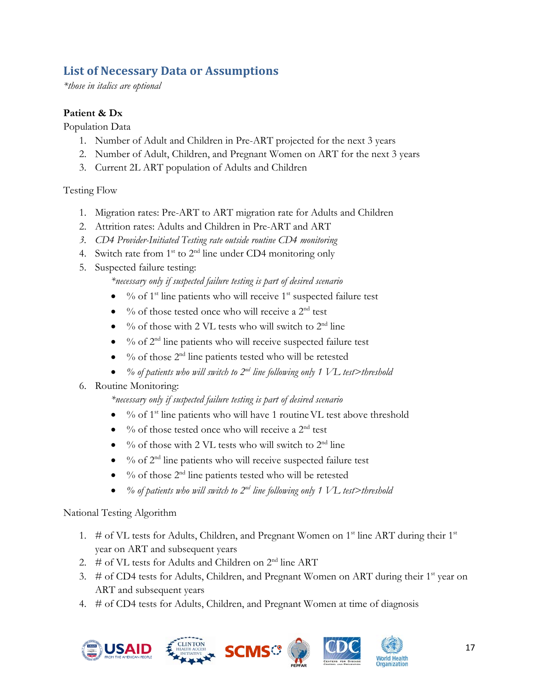# **List of Necessary Data or Assumptions**

*\*those in italics are optional* 

# **Patient & Dx**

Population Data

- 1. Number of Adult and Children in Pre-ART projected for the next 3 years
- 2. Number of Adult, Children, and Pregnant Women on ART for the next 3 years
- 3. Current 2L ART population of Adults and Children

Testing Flow

- 1. Migration rates: Pre-ART to ART migration rate for Adults and Children
- 2. Attrition rates: Adults and Children in Pre-ART and ART
- *3. CD4 Provider-Initiated Testing rate outside routine CD4 monitoring*
- 4. Switch rate from  $1^{st}$  to  $2^{nd}$  line under CD4 monitoring only
- 5. Suspected failure testing:

*\*necessary only if suspected failure testing is part of desired scenario* 

- $\bullet$  % of 1<sup>st</sup> line patients who will receive 1<sup>st</sup> suspected failure test
- $\bullet$  % of those tested once who will receive a 2<sup>nd</sup> test
- $\bullet$  % of those with 2 VL tests who will switch to  $2<sup>nd</sup>$  line
- $\bullet$  % of 2<sup>nd</sup> line patients who will receive suspected failure test
- $\bullet$  % of those  $2<sup>nd</sup>$  line patients tested who will be retested
- *% of patients who will switch to 2nd line following only 1 VL test>threshold*

# 6. Routine Monitoring:

*\*necessary only if suspected failure testing is part of desired scenario* 

- $\bullet$  % of 1<sup>st</sup> line patients who will have 1 routine VL test above threshold
- $\bullet$  % of those tested once who will receive a 2<sup>nd</sup> test
- $\bullet$  % of those with 2 VL tests who will switch to 2<sup>nd</sup> line
- $\bullet$  % of  $2<sup>nd</sup>$  line patients who will receive suspected failure test
- $\bullet$  % of those 2<sup>nd</sup> line patients tested who will be retested
- *% of patients who will switch to 2nd line following only 1 VL test>threshold*

National Testing Algorithm

- 1. # of VL tests for Adults, Children, and Pregnant Women on  $1<sup>st</sup>$  line ART during their  $1<sup>st</sup>$ year on ART and subsequent years
- 2.  $\#$  of VL tests for Adults and Children on  $2^{nd}$  line ART
- 3.  $\#$  of CD4 tests for Adults, Children, and Pregnant Women on ART during their 1<sup>st</sup> year on ART and subsequent years
- 4. # of CD4 tests for Adults, Children, and Pregnant Women at time of diagnosis







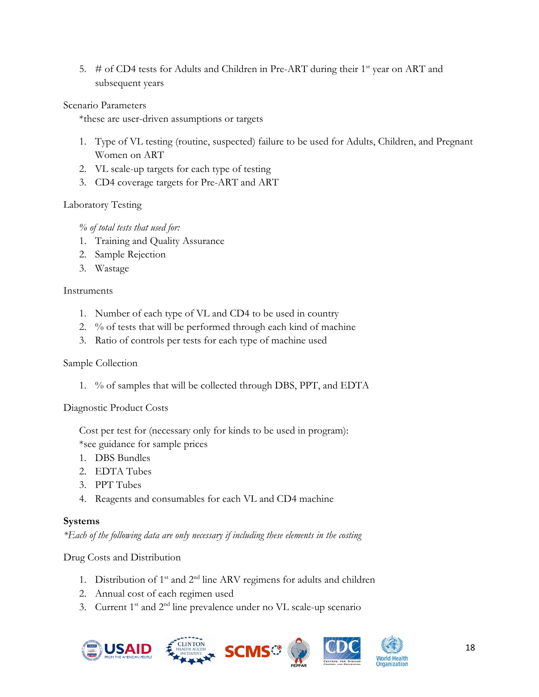5.  $\#$  of CD4 tests for Adults and Children in Pre-ART during their 1<sup>st</sup> year on ART and subsequent years

#### Scenario Parameters

\*these are user-driven assumptions or targets

- 1. Type of VL testing (routine, suspected) failure to be used for Adults, Children, and Pregnant Women on ART
- 2. VL scale-up targets for each type of testing
- 3. CD4 coverage targets for Pre-ART and ART

### Laboratory Testing

*% of total tests that used for:* 

- 1. Training and Quality Assurance
- 2. Sample Rejection
- 3. Wastage

### Instruments

- 1. Number of each type of VL and CD4 to be used in country
- 2. % of tests that will be performed through each kind of machine
- 3. Ratio of controls per tests for each type of machine used

### Sample Collection

1. % of samples that will be collected through DBS, PPT, and EDTA

### Diagnostic Product Costs

Cost per test for (necessary only for kinds to be used in program): \*see guidance for sample prices

- 1. DBS Bundles
- 2. EDTA Tubes
- 3. PPT Tubes
- 4. Reagents and consumables for each VL and CD4 machine

### **Systems**

*\*Each of the following data are only necessary if including these elements in the costing* 

### Drug Costs and Distribution

- 1. Distribution of  $1^{st}$  and  $2^{nd}$  line ARV regimens for adults and children
- 2. Annual cost of each regimen used
- 3. Current  $1<sup>st</sup>$  and  $2<sup>nd</sup>$  line prevalence under no VL scale-up scenario